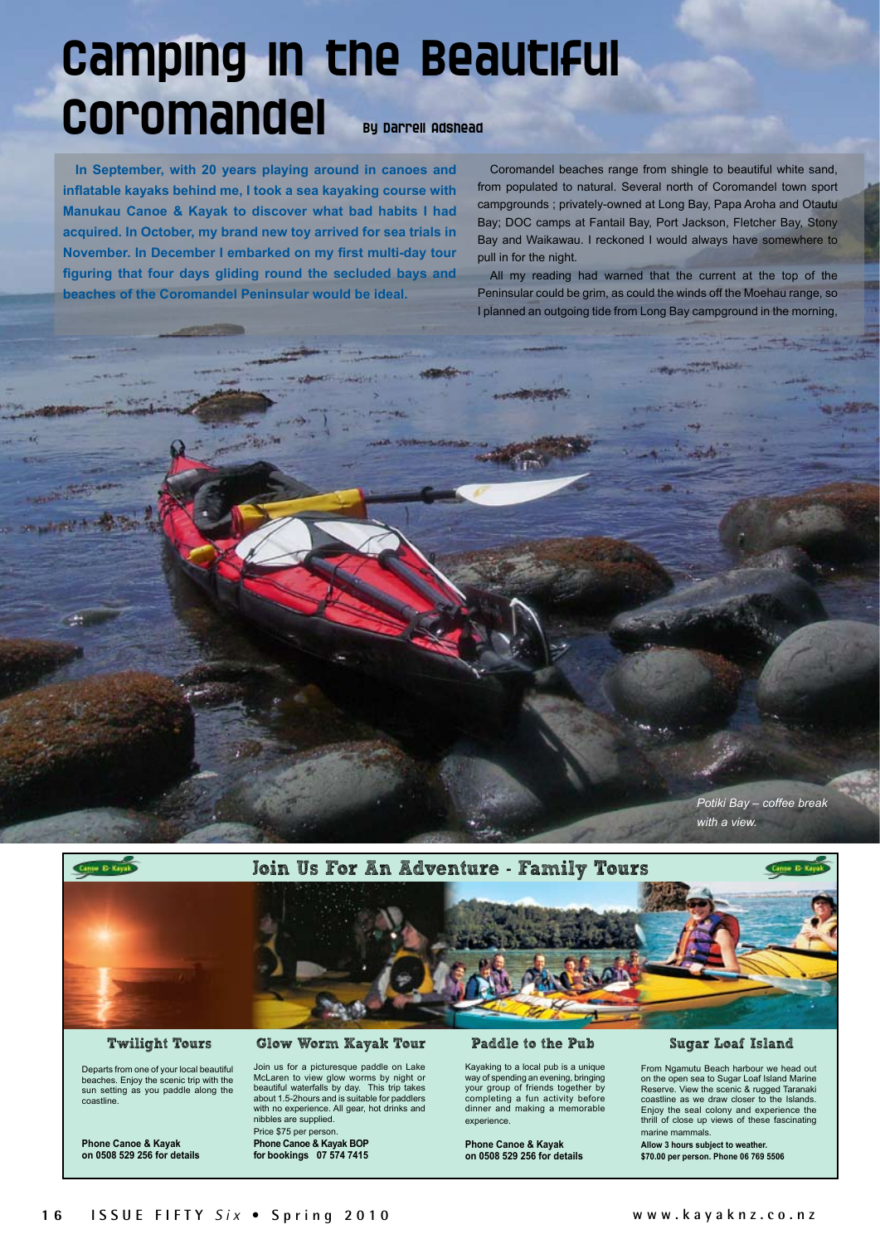# Camping in the Beautiful Coromandel By Darrell Adshead

**In September, with 20 years playing around in canoes and inflatable kayaks behind me, I took a sea kayaking course with Manukau Canoe & Kayak to discover what bad habits I had acquired. In October, my brand new toy arrived for sea trials in November. In December I embarked on my first multi-day tour figuring that four days gliding round the secluded bays and beaches of the Coromandel Peninsular would be ideal.**

Coromandel beaches range from shingle to beautiful white sand, from populated to natural. Several north of Coromandel town sport campgrounds ; privately-owned at Long Bay, Papa Aroha and Otautu Bay; DOC camps at Fantail Bay, Port Jackson, Fletcher Bay, Stony Bay and Waikawau. I reckoned I would always have somewhere to pull in for the night.

All my reading had warned that the current at the top of the Peninsular could be grim, as could the winds off the Moehau range, so I planned an outgoing tide from Long Bay campground in the morning,





# Twilight Tours

÷

Departs from one of your local beautiful beaches. Enjoy the scenic trip with the sun setting as you paddle along the coastline.

**Phone Canoe & Kayak on 0508 529 256 for details**

## Glow Worm Kayak Tour

Join us for a picturesque paddle on Lake McLaren to view glow worms by night or beautiful waterfalls by day. This trip takes about 1.5-2hours and is suitable for paddlers with no experience. All gear, hot drinks and nibbles are supplied. Price \$75 per person. **Phone Canoe & Kayak BOP for bookings 07 574 7415**

#### Paddle to the Pub

Kayaking to a local pub is a unique way of spending an evening, bringing your group of friends together by completing a fun activity before dinner and making a memorable experience.

**Phone Canoe & Kayak on 0508 529 256 for details**

### Sugar Loaf Island

From Ngamutu Beach harbour we head out on the open sea to Sugar Loaf Island Marine Reserve. View the scenic & rugged Taranaki coastline as we draw closer to the Islands. Enjoy the seal colony and experience the thrill of close up views of these fascinating marine mammals.

**Allow 3 hours subject to weather. \$70.00 per person. Phone 06 769 5506**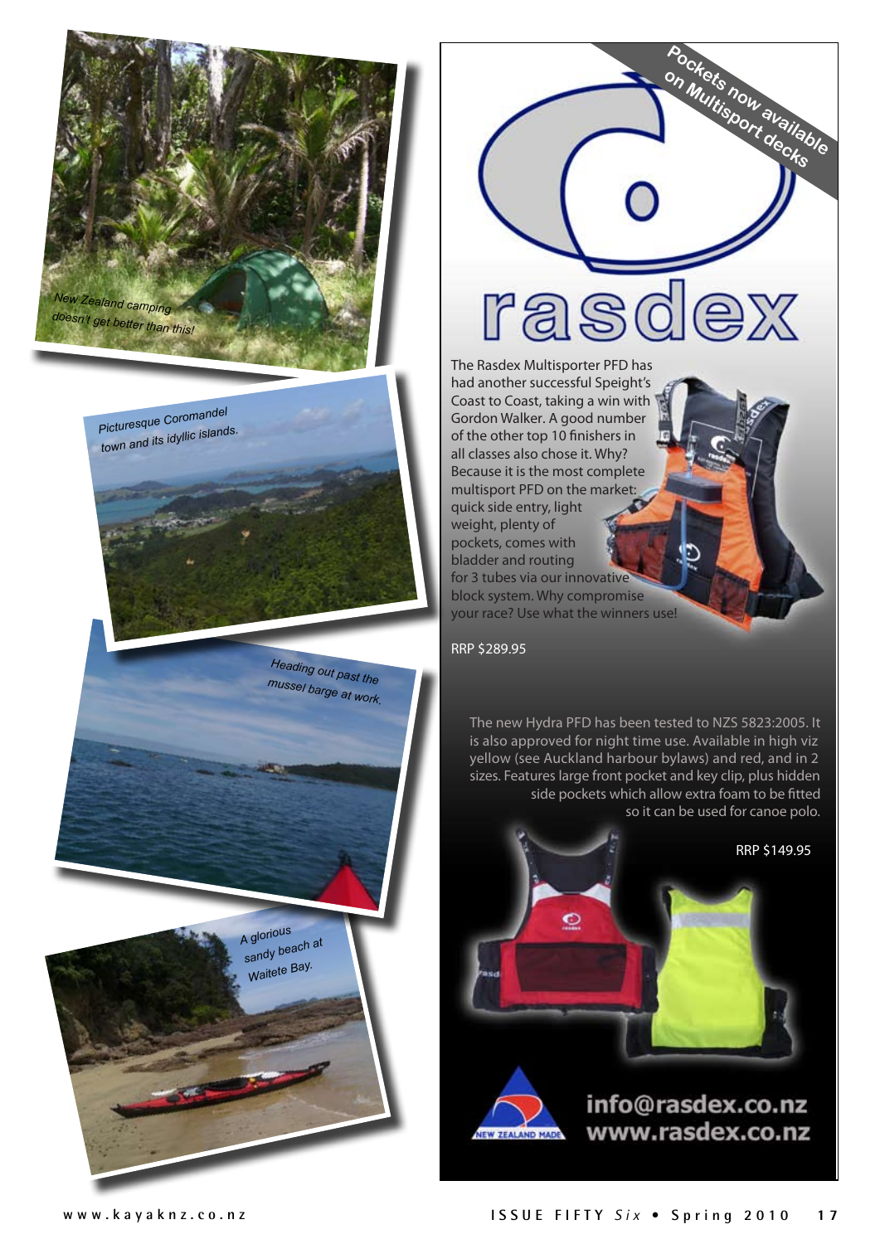

*Picturesque Coromandel town and its idyllic islands.*

> *Heading out past the mussel barge at work.*

*A glorious sandy beach at Waitete Bay.*



**Pockets now available on Multisport decks**

weight, plenty of pockets, comes with bladder and routing for 3 tubes via our innovative block system. Why compromise your race? Use what the winners use!

RRP \$289.95

The new Hydra PFD has been tested to NZS 5823:2005. It is also approved for night time use. Available in high viz yellow (see Auckland harbour bylaws) and red, and in 2 sizes. Features large front pocket and key clip, plus hidden side pockets which allow extra foam to be fitted so it can be used for canoe polo.

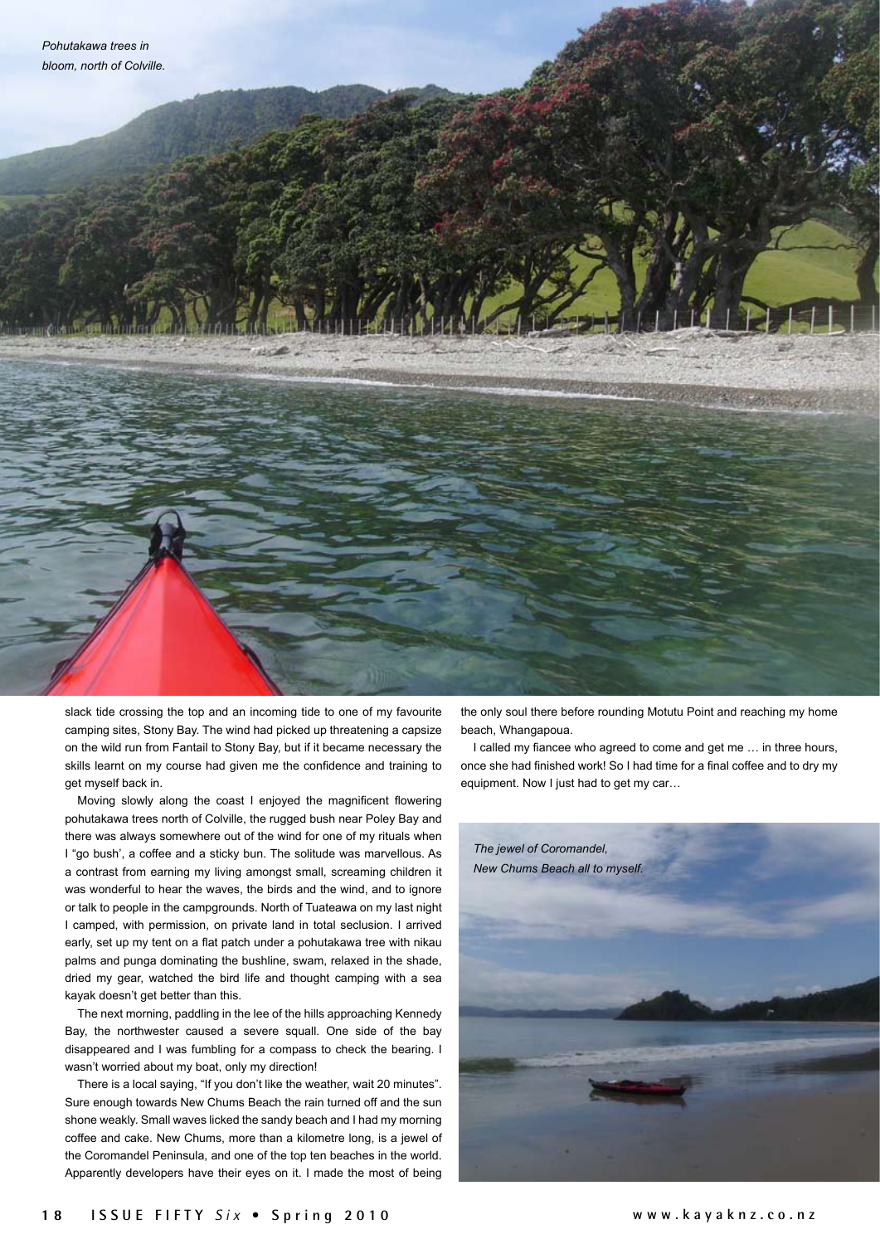

slack tide crossing the top and an incoming tide to one of my favourite camping sites, Stony Bay. The wind had picked up threatening a capsize on the wild run from Fantail to Stony Bay, but if it became necessary the skills learnt on my course had given me the confidence and training to get myself back in.

Moving slowly along the coast I enjoyed the magnificent flowering pohutakawa trees north of Colville, the rugged bush near Poley Bay and there was always somewhere out of the wind for one of my rituals when I "go bush', a coffee and a sticky bun. The solitude was marvellous. As a contrast from earning my living amongst small, screaming children it was wonderful to hear the waves, the birds and the wind, and to ignore or talk to people in the campgrounds. North of Tuateawa on my last night I camped, with permission, on private land in total seclusion. I arrived early, set up my tent on a flat patch under a pohutakawa tree with nikau palms and punga dominating the bushline, swam, relaxed in the shade, dried my gear, watched the bird life and thought camping with a sea kayak doesn't get better than this.

The next morning, paddling in the lee of the hills approaching Kennedy Bay, the northwester caused a severe squall. One side of the bay disappeared and I was fumbling for a compass to check the bearing. I wasn't worried about my boat, only my direction!

There is a local saying, "If you don't like the weather, wait 20 minutes". Sure enough towards New Chums Beach the rain turned off and the sun shone weakly. Small waves licked the sandy beach and I had my morning coffee and cake. New Chums, more than a kilometre long, is a jewel of the Coromandel Peninsula, and one of the top ten beaches in the world. Apparently developers have their eyes on it. I made the most of being the only soul there before rounding Motutu Point and reaching my home beach, Whangapoua.

I called my fiancee who agreed to come and get me … in three hours, once she had finished work! So I had time for a final coffee and to dry my equipment. Now I just had to get my car…